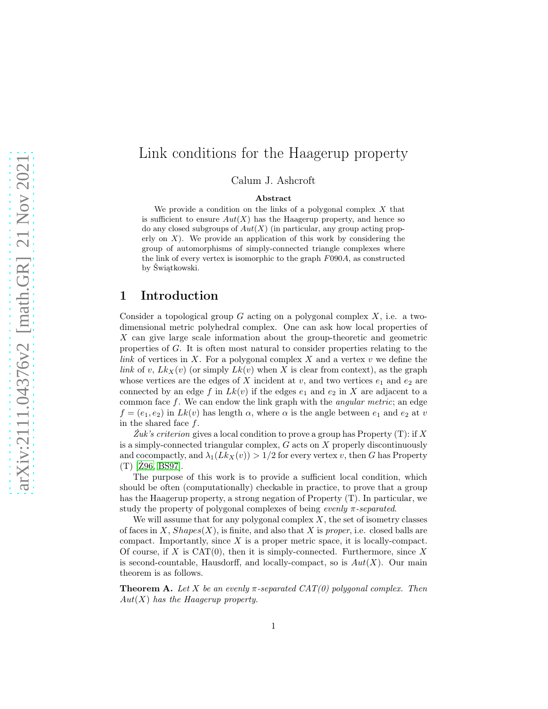# Link conditions for the Haagerup property

Calum J. Ashcroft

#### Abstract

We provide a condition on the links of a polygonal complex  $X$  that is sufficient to ensure  $Aut(X)$  has the Haagerup property, and hence so do any closed subgroups of  $Aut(X)$  (in particular, any group acting properly on  $X$ ). We provide an application of this work by considering the group of automorphisms of simply-connected triangle complexes where the link of every vertex is isomorphic to the graph  $F090A$ , as constructed by Świątkowski.

## 1 Introduction

Consider a topological group  $G$  acting on a polygonal complex  $X$ , i.e. a twodimensional metric polyhedral complex. One can ask how local properties of X can give large scale information about the group-theoretic and geometric properties of G. It is often most natural to consider properties relating to the link of vertices in X. For a polygonal complex X and a vertex  $v$  we define the link of v,  $Lk_X(v)$  (or simply  $Lk(v)$  when X is clear from context), as the graph whose vertices are the edges of X incident at v, and two vertices  $e_1$  and  $e_2$  are connected by an edge f in  $Lk(v)$  if the edges  $e_1$  and  $e_2$  in X are adjacent to a common face  $f$ . We can endow the link graph with the *angular metric*; an edge  $f = (e_1, e_2)$  in  $Lk(v)$  has length  $\alpha$ , where  $\alpha$  is the angle between  $e_1$  and  $e_2$  at v in the shared face  $f$ .

Zuk's criterion gives a local condition to prove a group has Property  $(T)$ : if X is a simply-connected triangular complex,  $G$  acts on  $X$  properly discontinuously and cocompactly, and  $\lambda_1(Lk_X(v)) > 1/2$  for every vertex v, then G has Property (T) [\[Ż96,](#page-19-0) [BS97\]](#page-18-0).

The purpose of this work is to provide a sufficient local condition, which should be often (computationally) checkable in practice, to prove that a group has the Haagerup property, a strong negation of Property (T). In particular, we study the property of polygonal complexes of being *evenly*  $\pi$ -separated.

We will assume that for any polygonal complex  $X$ , the set of isometry classes of faces in X,  $Shapes(X)$ , is finite, and also that X is proper, i.e. closed balls are compact. Importantly, since  $X$  is a proper metric space, it is locally-compact. Of course, if X is CAT $(0)$ , then it is simply-connected. Furthermore, since X is second-countable, Hausdorff, and locally-compact, so is  $Aut(X)$ . Our main theorem is as follows.

<span id="page-0-0"></span>**Theorem A.** Let X be an evenly  $\pi$ -separated CAT(0) polygonal complex. Then  $Aut(X)$  has the Haagerup property.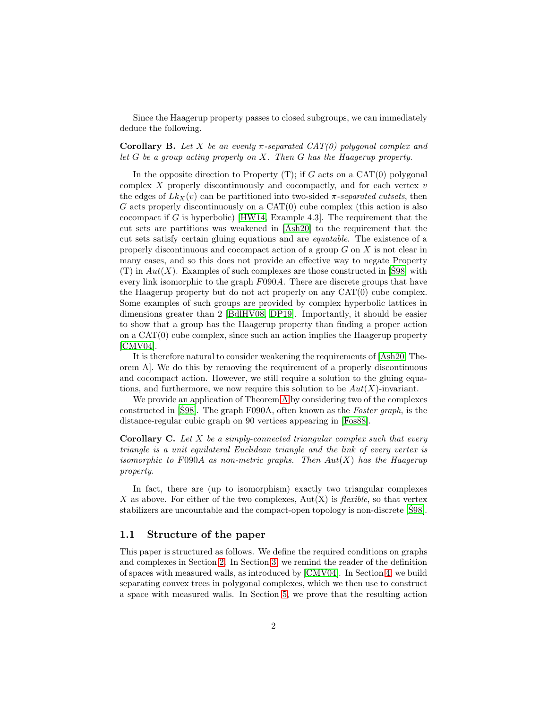Since the Haagerup property passes to closed subgroups, we can immediately deduce the following.

Corollary B. Let X be an evenly  $\pi$ -separated  $CAT(0)$  polygonal complex and let  $G$  be a group acting properly on  $X$ . Then  $G$  has the Haagerup property.

In the opposite direction to Property  $(T)$ ; if G acts on a CAT $(0)$  polygonal complex  $X$  properly discontinuously and cocompactly, and for each vertex  $v$ the edges of  $Lk_X(v)$  can be partitioned into two-sided  $\pi$ -separated cutsets, then  $G$  acts properly discontinuously on a  $CAT(0)$  cube complex (this action is also cocompact if G is hyperbolic) [\[HW14,](#page-19-1) Example 4.3]. The requirement that the cut sets are partitions was weakened in [\[Ash20\]](#page-18-1) to the requirement that the cut sets satisfy certain gluing equations and are equatable. The existence of a properly discontinuous and cocompact action of a group G on X is not clear in many cases, and so this does not provide an effective way to negate Property (T) in  $Aut(X)$ . Examples of such complexes are those constructed in [S98] with every link isomorphic to the graph  $F090A$ . There are discrete groups that have the Haagerup property but do not act properly on any  $CAT(0)$  cube complex. Some examples of such groups are provided by complex hyperbolic lattices in dimensions greater than 2 [\[BdlHV08,](#page-18-2) [DP19\]](#page-18-3). Importantly, it should be easier to show that a group has the Haagerup property than finding a proper action on a  $CAT(0)$  cube complex, since such an action implies the Haagerup property [\[CMV04\]](#page-18-4).

It is therefore natural to consider weakening the requirements of [\[Ash20,](#page-18-1) Theorem A]. We do this by removing the requirement of a properly discontinuous and cocompact action. However, we still require a solution to the gluing equations, and furthermore, we now require this solution to be  $Aut(X)$ -invariant.

We provide an application of Theorem [A](#page-0-0) by considering two of the complexes constructed in [\[Ś98\]](#page-19-2). The graph F090A, often known as the Foster graph, is the distance-regular cubic graph on 90 vertices appearing in [\[Fos88\]](#page-19-3).

<span id="page-1-0"></span>**Corollary C.** Let X be a simply-connected triangular complex such that every triangle is a unit equilateral Euclidean triangle and the link of every vertex is isomorphic to F090A as non-metric graphs. Then  $Aut(X)$  has the Haagerup property.

In fact, there are (up to isomorphism) exactly two triangular complexes X as above. For either of the two complexes,  $Aut(X)$  is *flexible*, so that vertex stabilizers are uncountable and the compact-open topology is non-discrete [\[Ś98\]](#page-19-2).

### 1.1 Structure of the paper

This paper is structured as follows. We define the required conditions on graphs and complexes in Section [2.](#page-2-0) In Section [3,](#page-6-0) we remind the reader of the definition of spaces with measured walls, as introduced by [\[CMV04\]](#page-18-4). In Section [4,](#page-7-0) we build separating convex trees in polygonal complexes, which we then use to construct a space with measured walls. In Section [5,](#page-14-0) we prove that the resulting action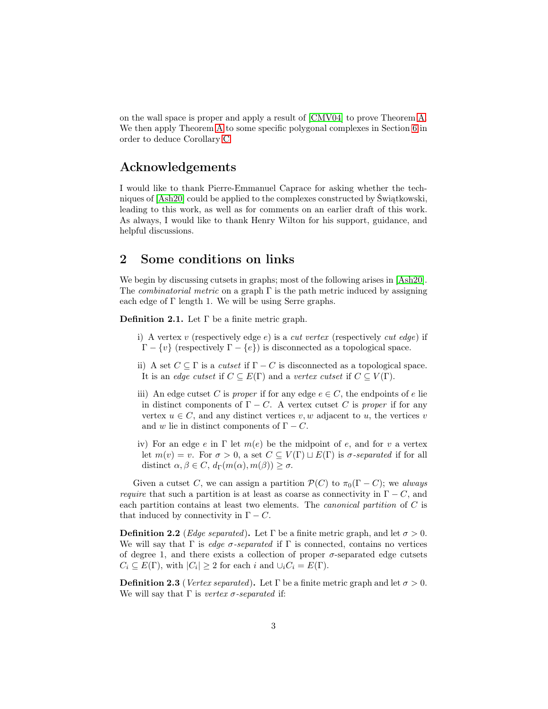on the wall space is proper and apply a result of [\[CMV04\]](#page-18-4) to prove Theorem [A.](#page-0-0) We then apply Theorem [A](#page-0-0) to some specific polygonal complexes in Section [6](#page-15-0) in order to deduce Corollary [C.](#page-1-0)

## Acknowledgements

I would like to thank Pierre-Emmanuel Caprace for asking whether the techniques of [\[Ash20\]](#page-18-1) could be applied to the complexes constructed by Świątkowski, leading to this work, as well as for comments on an earlier draft of this work. As always, I would like to thank Henry Wilton for his support, guidance, and helpful discussions.

## <span id="page-2-0"></span>2 Some conditions on links

We begin by discussing cutsets in graphs; most of the following arises in [\[Ash20\]](#page-18-1). The *combinatorial metric* on a graph  $\Gamma$  is the path metric induced by assigning each edge of Γ length 1. We will be using Serre graphs.

**Definition 2.1.** Let  $\Gamma$  be a finite metric graph.

- i) A vertex v (respectively edge e) is a *cut vertex* (respectively *cut edge*) if  $Γ - {v}$  (respectively  $Γ - {e}$ ) is disconnected as a topological space.
- ii) A set  $C \subseteq \Gamma$  is a *cutset* if  $\Gamma C$  is disconnected as a topological space. It is an edge cutset if  $C \subseteq E(\Gamma)$  and a vertex cutset if  $C \subseteq V(\Gamma)$ .
- iii) An edge cutset C is *proper* if for any edge  $e \in C$ , the endpoints of e lie in distinct components of  $\Gamma - C$ . A vertex cutset C is proper if for any vertex  $u \in C$ , and any distinct vertices v, w adjacent to u, the vertices v and w lie in distinct components of  $\Gamma - C$ .
- iv) For an edge e in  $\Gamma$  let  $m(e)$  be the midpoint of e, and for v a vertex let  $m(v) = v$ . For  $\sigma > 0$ , a set  $C \subseteq V(\Gamma) \sqcup E(\Gamma)$  is  $\sigma$ -separated if for all distinct  $\alpha, \beta \in C$ ,  $d_{\Gamma}(m(\alpha), m(\beta)) \geq \sigma$ .

Given a cutset C, we can assign a partition  $\mathcal{P}(C)$  to  $\pi_0(\Gamma - C)$ ; we always *require* that such a partition is at least as coarse as connectivity in  $\Gamma - C$ , and each partition contains at least two elements. The canonical partition of C is that induced by connectivity in  $\Gamma - C$ .

**Definition 2.2** (*Edge separated*). Let Γ be a finite metric graph, and let  $\sigma > 0$ . We will say that  $\Gamma$  is *edge*  $\sigma$ *-separated* if  $\Gamma$  is connected, contains no vertices of degree 1, and there exists a collection of proper  $\sigma$ -separated edge cutsets  $C_i \subseteq E(\Gamma)$ , with  $|C_i| \ge 2$  for each i and  $\cup_i C_i = E(\Gamma)$ .

**Definition 2.3** (Vertex separated). Let Γ be a finite metric graph and let  $\sigma > 0$ . We will say that  $\Gamma$  is vertex  $\sigma$ -separated if: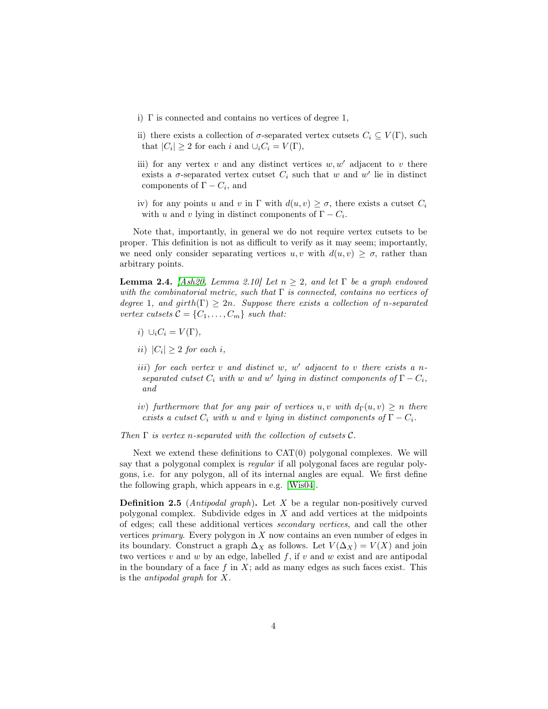- i) Γ is connected and contains no vertices of degree 1,
- ii) there exists a collection of  $\sigma$ -separated vertex cutsets  $C_i \subseteq V(\Gamma)$ , such that  $|C_i| \geq 2$  for each i and  $\cup_i C_i = V(\Gamma)$ ,
- iii) for any vertex v and any distinct vertices  $w, w'$  adjacent to v there exists a  $\sigma$ -separated vertex cutset  $C_i$  such that w and w' lie in distinct components of  $\Gamma - C_i$ , and
- iv) for any points u and v in  $\Gamma$  with  $d(u, v) \geq \sigma$ , there exists a cutset  $C_i$ with u and v lying in distinct components of  $\Gamma - C_i$ .

Note that, importantly, in general we do not require vertex cutsets to be proper. This definition is not as difficult to verify as it may seem; importantly, we need only consider separating vertices  $u, v$  with  $d(u, v) \geq \sigma$ , rather than arbitrary points.

**Lemma 2.4.** [\[Ash20,](#page-18-1) Lemma 2.10] Let  $n \geq 2$ , and let  $\Gamma$  be a graph endowed with the combinatorial metric, such that  $\Gamma$  is connected, contains no vertices of degree 1, and girth( $\Gamma$ )  $\geq 2n$ . Suppose there exists a collection of n-separated vertex cutsets  $C = \{C_1, \ldots, C_m\}$  such that:

- i)  $\cup_i C_i = V(\Gamma)$ ,
- ii)  $|C_i| \geq 2$  for each i,
- $iii)$  for each vertex  $v$  and distinct  $w, w'$  adjacent to  $v$  there exists a nseparated cutset  $C_i$  with w and w' lying in distinct components of  $\Gamma - C_i$ , and
- iv) furthermore that for any pair of vertices u, v with  $d_{\Gamma}(u, v) \geq n$  there exists a cutset  $C_i$  with u and v lying in distinct components of  $\Gamma - C_i$ .

Then  $\Gamma$  is vertex n-separated with the collection of cutsets  $\mathcal{C}$ .

Next we extend these definitions to  $CAT(0)$  polygonal complexes. We will say that a polygonal complex is regular if all polygonal faces are regular polygons, i.e. for any polygon, all of its internal angles are equal. We first define the following graph, which appears in e.g. [\[Wis04\]](#page-19-4).

**Definition 2.5** (*Antipodal graph*). Let X be a regular non-positively curved polygonal complex. Subdivide edges in  $X$  and add vertices at the midpoints of edges; call these additional vertices secondary vertices, and call the other vertices *primary*. Every polygon in  $X$  now contains an even number of edges in its boundary. Construct a graph  $\Delta_X$  as follows. Let  $V(\Delta_X) = V(X)$  and join two vertices  $v$  and  $w$  by an edge, labelled  $f$ , if  $v$  and  $w$  exist and are antipodal in the boundary of a face f in  $X$ ; add as many edges as such faces exist. This is the antipodal graph for X.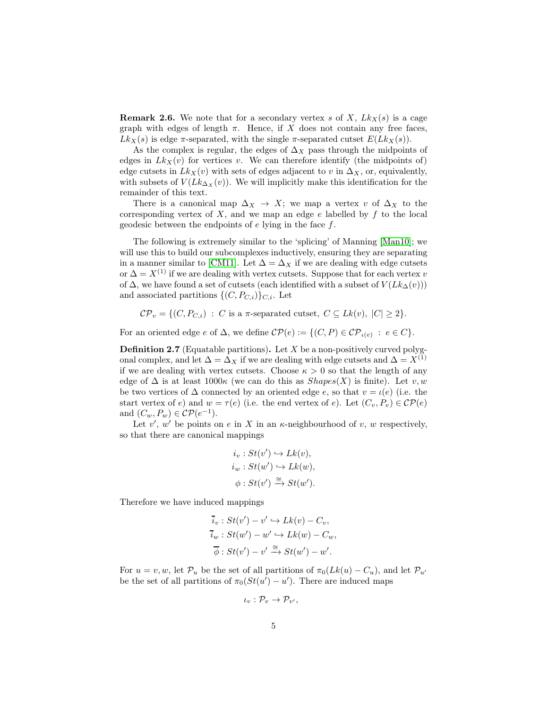**Remark 2.6.** We note that for a secondary vertex s of X,  $Lk_X(s)$  is a cage graph with edges of length  $\pi$ . Hence, if X does not contain any free faces,  $Lk_X(s)$  is edge  $\pi$ -separated, with the single  $\pi$ -separated cutset  $E(Lk_X(s))$ .

As the complex is regular, the edges of  $\Delta_X$  pass through the midpoints of edges in  $Lk_X(v)$  for vertices v. We can therefore identify (the midpoints of) edge cutsets in  $Lk_X(v)$  with sets of edges adjacent to v in  $\Delta_X$ , or, equivalently, with subsets of  $V(Lk_{\Delta_X}(v))$ . We will implicitly make this identification for the remainder of this text.

There is a canonical map  $\Delta_X \to X$ ; we map a vertex v of  $\Delta_X$  to the corresponding vertex of  $X$ , and we map an edge  $e$  labelled by  $f$  to the local geodesic between the endpoints of  $e$  lying in the face  $f$ .

The following is extremely similar to the 'splicing' of Manning [\[Man10\]](#page-19-5); we will use this to build our subcomplexes inductively, ensuring they are separating in a manner similar to [\[CM11\]](#page-18-5). Let  $\Delta = \Delta_X$  if we are dealing with edge cutsets or  $\Delta = X^{(1)}$  if we are dealing with vertex cutsets. Suppose that for each vertex v of  $\Delta$ , we have found a set of cutsets (each identified with a subset of  $V(Lk_{\Delta}(v))$ ) and associated partitions  $\{(C, P_{C,i})\}_{C,i}$ . Let

$$
C\mathcal{P}_v = \{ (C, P_{C,i}) : C \text{ is a } \pi\text{-separated cutset, } C \subseteq Lk(v), |C| \geq 2 \}.
$$

For an oriented edge e of  $\Delta$ , we define  $\mathcal{CP}(e) := \{ (C, P) \in \mathcal{CP}_{\iota(e)} : e \in C \}.$ 

**Definition 2.7** (Equatable partitions). Let  $X$  be a non-positively curved polygonal complex, and let  $\Delta = \Delta_X$  if we are dealing with edge cutsets and  $\Delta = X^{(1)}$ if we are dealing with vertex cutsets. Choose  $\kappa > 0$  so that the length of any edge of  $\Delta$  is at least  $1000\kappa$  (we can do this as  $Shapes(X)$  is finite). Let v, w be two vertices of  $\Delta$  connected by an oriented edge e, so that  $v = \iota(e)$  (i.e. the start vertex of e) and  $w = \tau(e)$  (i.e. the end vertex of e). Let  $(C_v, P_v) \in \mathcal{CP}(e)$ and  $(C_w, P_w) \in \mathcal{CP}(e^{-1})$ .

Let  $v'$ , w' be points on e in X in an  $\kappa$ -neighbourhood of v, w respectively, so that there are canonical mappings

$$
i_v : St(v') \hookrightarrow Lk(v),
$$
  
\n
$$
i_w : St(w') \hookrightarrow Lk(w),
$$
  
\n
$$
\phi : St(v') \xrightarrow{\cong} St(w').
$$

Therefore we have induced mappings

$$
\overline{i}_v : St(v') - v' \hookrightarrow Lk(v) - C_v,
$$
  
\n
$$
\overline{i}_w : St(w') - w' \hookrightarrow Lk(w) - C_w,
$$
  
\n
$$
\overline{\phi} : St(v') - v' \xrightarrow{\cong} St(w') - w'.
$$

For  $u = v, w$ , let  $\mathcal{P}_u$  be the set of all partitions of  $\pi_0(Lk(u) - C_u)$ , and let  $\mathcal{P}_{u'}$ be the set of all partitions of  $\pi_0(St(u') - u')$ . There are induced maps

$$
\iota_v: \mathcal{P}_v \to \mathcal{P}_{v'},
$$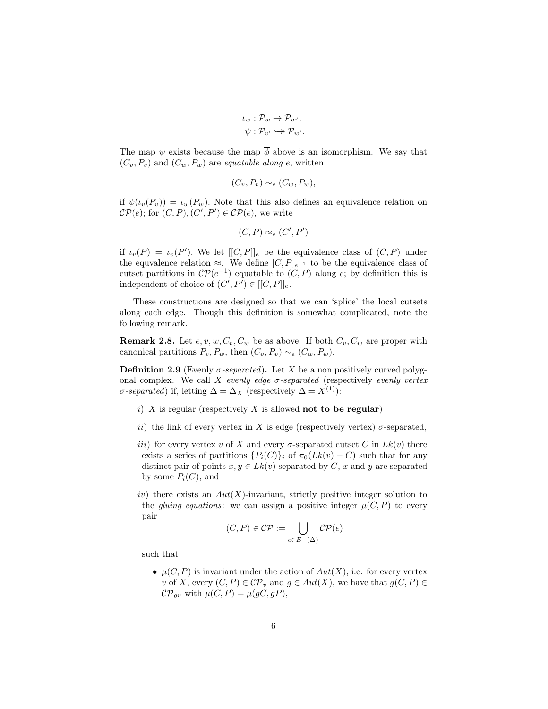$$
\iota_w : \mathcal{P}_w \to \mathcal{P}_{w'},
$$

$$
\psi : \mathcal{P}_{v'} \hookrightarrow \mathcal{P}_{w'}.
$$

The map  $\psi$  exists because the map  $\overline{\phi}$  above is an isomorphism. We say that  $(C_v, P_v)$  and  $(C_w, P_w)$  are *equatable along e*, written

$$
(C_v, P_v) \sim_e (C_w, P_w),
$$

if  $\psi(\iota_v(P_v)) = \iota_w(P_w)$ . Note that this also defines an equivalence relation on  $\mathcal{CP}(e)$ ; for  $(C, P), (C', P') \in \mathcal{CP}(e)$ , we write

$$
(C, P) \approx_e (C', P')
$$

if  $\iota_v(P) = \iota_v(P')$ . We let  $[[C, P]]_e$  be the equivalence class of  $(C, P)$  under the equvalence relation  $\approx$ . We define  $[C, P]_{e^{-1}}$  to be the equivalence class of cutset partitions in  $\mathcal{CP}(e^{-1})$  equatable to  $(C, P)$  along e; by definition this is independent of choice of  $(C', P') \in [[C, P]]_e$ .

These constructions are designed so that we can 'splice' the local cutsets along each edge. Though this definition is somewhat complicated, note the following remark.

**Remark 2.8.** Let  $e, v, w, C_v, C_w$  be as above. If both  $C_v, C_w$  are proper with canonical partitions  $P_v, P_w$ , then  $(C_v, P_v) \sim_e (C_w, P_w)$ .

**Definition 2.9** (Evenly  $\sigma$ -separated). Let X be a non positively curved polygonal complex. We call X evenly edge  $\sigma$ -separated (respectively evenly vertex σ-separated) if, letting  $\Delta = \Delta_X$  (respectively  $\Delta = X^{(1)}$ ):

- i)  $X$  is regular (respectively  $X$  is allowed not to be regular)
- ii) the link of every vertex in X is edge (respectively vertex)  $\sigma$ -separated,
- iii) for every vertex v of X and every  $\sigma$ -separated cutset C in  $Lk(v)$  there exists a series of partitions  $\{P_i(C)\}\$ i of  $\pi_0(Lk(v) - C)$  such that for any distinct pair of points  $x, y \in L_k(v)$  separated by C, x and y are separated by some  $P_i(C)$ , and
- iv) there exists an  $Aut(X)$ -invariant, strictly positive integer solution to the *gluing equations*: we can assign a positive integer  $\mu(C, P)$  to every pair

$$
(C, P) \in \mathcal{CP} := \bigcup_{e \in E^{\pm}(\Delta)} \mathcal{CP}(e)
$$

such that

•  $\mu(C, P)$  is invariant under the action of  $Aut(X)$ , i.e. for every vertex v of X, every  $(C, P) \in \mathcal{CP}_v$  and  $g \in Aut(X)$ , we have that  $g(C, P) \in$  $\mathcal{CP}_{qv}$  with  $\mu(C, P) = \mu(gC, gP),$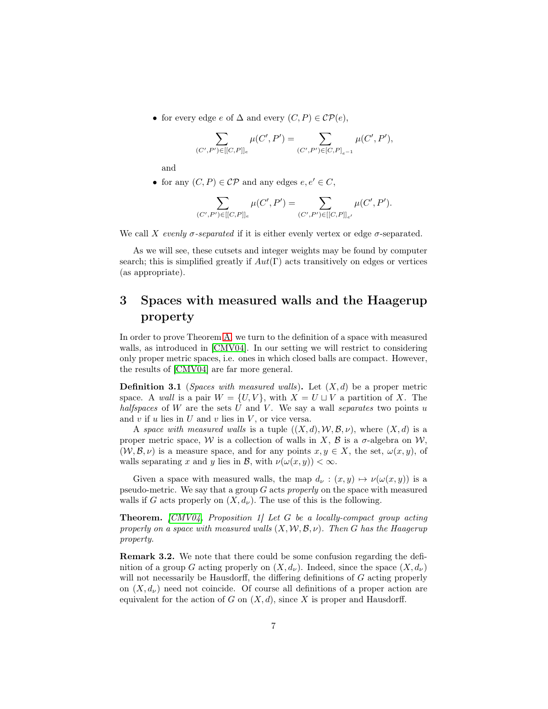• for every edge  $e$  of  $\Delta$  and every  $(C, P) \in \mathcal{CP}(e)$ ,

$$
\sum_{(C',P')\in[[C,P]]_e} \mu(C',P') = \sum_{(C',P')\in[C,P]_{e^{-1}}} \mu(C',P'),
$$

and

• for any  $(C, P) \in \mathcal{CP}$  and any edges  $e, e' \in C$ ,

$$
\sum_{(C',P')\in [[C,P]]_e}\mu(C',P')=\sum_{(C',P')\in [[C,P]]_{e'}}\mu(C',P').
$$

We call X evenly  $\sigma$ -separated if it is either evenly vertex or edge  $\sigma$ -separated.

As we will see, these cutsets and integer weights may be found by computer search; this is simplified greatly if  $Aut(\Gamma)$  acts transitively on edges or vertices (as appropriate).

# <span id="page-6-0"></span>3 Spaces with measured walls and the Haagerup property

In order to prove Theorem [A,](#page-0-0) we turn to the definition of a space with measured walls, as introduced in [\[CMV04\]](#page-18-4). In our setting we will restrict to considering only proper metric spaces, i.e. ones in which closed balls are compact. However, the results of [\[CMV04\]](#page-18-4) are far more general.

**Definition 3.1** (*Spaces with measured walls*). Let  $(X, d)$  be a proper metric space. A wall is a pair  $W = \{U, V\}$ , with  $X = U \sqcup V$  a partition of X. The halfspaces of  $W$  are the sets  $U$  and  $V$ . We say a wall separates two points  $u$ and  $v$  if  $u$  lies in  $U$  and  $v$  lies in  $V$ , or vice versa.

A space with measured walls is a tuple  $((X, d), W, \mathcal{B}, \nu)$ , where  $(X, d)$  is a proper metric space, W is a collection of walls in X,  $\beta$  is a  $\sigma$ -algebra on W,  $(W, \mathcal{B}, \nu)$  is a measure space, and for any points  $x, y \in X$ , the set,  $\omega(x, y)$ , of walls separating x and y lies in B, with  $\nu(\omega(x, y)) < \infty$ .

Given a space with measured walls, the map  $d_{\nu} : (x, y) \mapsto \nu(\omega(x, y))$  is a pseudo-metric. We say that a group  $G$  acts properly on the space with measured walls if G acts properly on  $(X, d_\nu)$ . The use of this is the following.

**Theorem.**  $[CMV04,$  Proposition 1] Let G be a locally-compact group acting properly on a space with measured walls  $(X, \mathcal{W}, \mathcal{B}, \nu)$ . Then G has the Haagerup property.

Remark 3.2. We note that there could be some confusion regarding the definition of a group G acting properly on  $(X, d_{\nu})$ . Indeed, since the space  $(X, d_{\nu})$ will not necessarily be Hausdorff, the differing definitions of G acting properly on  $(X, d<sub>\nu</sub>)$  need not coincide. Of course all definitions of a proper action are equivalent for the action of G on  $(X, d)$ , since X is proper and Hausdorff.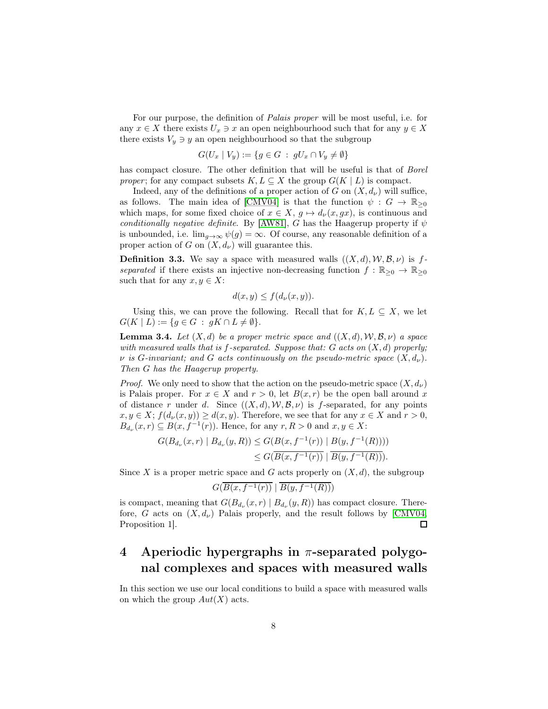For our purpose, the definition of Palais proper will be most useful, i.e. for any  $x \in X$  there exists  $U_x \ni x$  an open neighbourhood such that for any  $y \in X$ there exists  $V_y \ni y$  an open neighbourhood so that the subgroup

$$
G(U_x \mid V_y) := \{ g \in G \; : \; gU_x \cap V_y \neq \emptyset \}
$$

has compact closure. The other definition that will be useful is that of *Borel* proper; for any compact subsets  $K, L \subseteq X$  the group  $G(K | L)$  is compact.

Indeed, any of the definitions of a proper action of G on  $(X, d_{\nu})$  will suffice, as follows. The main idea of [\[CMV04\]](#page-18-4) is that the function  $\psi : G \to \mathbb{R}_{\geq 0}$ which maps, for some fixed choice of  $x \in X$ ,  $g \mapsto d_{\nu}(x, gx)$ , is continuous and conditionally negative definite. By [\[AW81\]](#page-18-6), G has the Haagerup property if  $\psi$ is unbounded, i.e.  $\lim_{q\to\infty}\psi(q)=\infty$ . Of course, any reasonable definition of a proper action of G on  $(X, d_{\nu})$  will guarantee this.

**Definition 3.3.** We say a space with measured walls  $((X, d), W, \mathcal{B}, \nu)$  is fseparated if there exists an injective non-decreasing function  $f : \mathbb{R}_{\geq 0} \to \mathbb{R}_{\geq 0}$ such that for any  $x, y \in X$ :

$$
d(x, y) \le f(d_{\nu}(x, y)).
$$

Using this, we can prove the following. Recall that for  $K, L \subseteq X$ , we let  $G(K | L) := \{ g \in G : gK \cap L \neq \emptyset \}.$ 

<span id="page-7-1"></span>**Lemma 3.4.** Let  $(X, d)$  be a proper metric space and  $((X, d), W, \mathcal{B}, \nu)$  a space with measured walls that is f-separated. Suppose that:  $G$  acts on  $(X, d)$  properly;  $\nu$  is G-invariant; and G acts continuously on the pseudo-metric space  $(X, d_{\nu})$ . Then G has the Haagerup property.

*Proof.* We only need to show that the action on the pseudo-metric space  $(X, d_{\nu})$ is Palais proper. For  $x \in X$  and  $r > 0$ , let  $B(x, r)$  be the open ball around x of distance r under d. Since  $((X, d), W, \mathcal{B}, \nu)$  is f-separated, for any points  $x, y \in X$ ;  $f(d_{\nu}(x, y)) \geq d(x, y)$ . Therefore, we see that for any  $x \in X$  and  $r > 0$ ,  $B_{d_{\nu}}(x,r) \subseteq B(x, f^{-1}(r))$ . Hence, for any  $r, R > 0$  and  $x, y \in X$ :

$$
G(B_{d_{\nu}}(x,r) | B_{d_{\nu}}(y,R)) \le G(B(x, f^{-1}(r)) | B(y, f^{-1}(R))))
$$
  
 
$$
\le G(\overline{B(x, f^{-1}(r))} | \overline{B(y, f^{-1}(R))}).
$$

Since X is a proper metric space and G acts properly on  $(X, d)$ , the subgroup

$$
G(\overline{B(x,f^{-1}(r))} \mid \overline{B(y,f^{-1}(R))})
$$

is compact, meaning that  $G(B_{d_{\nu}}(x,r) | B_{d_{\nu}}(y,R))$  has compact closure. Therefore, G acts on  $(X, d_\nu)$  Palais properly, and the result follows by [\[CMV04,](#page-18-4) Proposition 1].  $\Box$ 

# <span id="page-7-0"></span>4 Aperiodic hypergraphs in  $\pi$ -separated polygonal complexes and spaces with measured walls

In this section we use our local conditions to build a space with measured walls on which the group  $Aut(X)$  acts.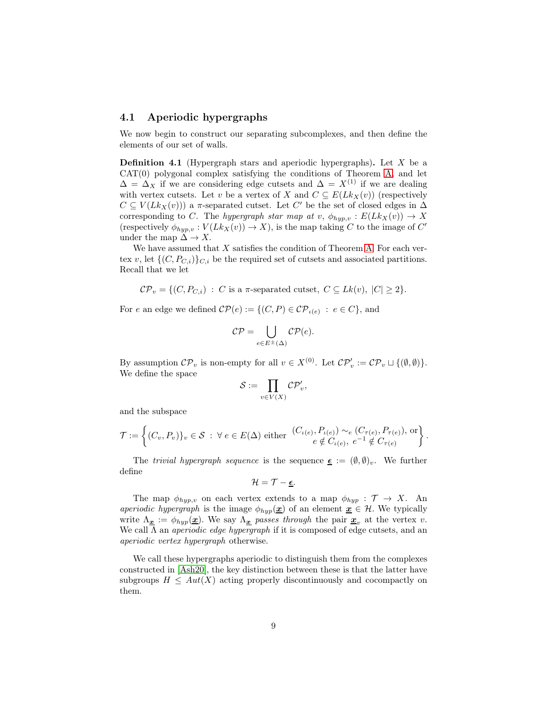### 4.1 Aperiodic hypergraphs

We now begin to construct our separating subcomplexes, and then define the elements of our set of walls.

**Definition 4.1** (Hypergraph stars and aperiodic hypergraphs). Let  $X$  be a  $CAT(0)$  polygonal complex satisfying the conditions of Theorem [A,](#page-0-0) and let  $\Delta = \Delta_X$  if we are considering edge cutsets and  $\Delta = X^{(1)}$  if we are dealing with vertex cutsets. Let v be a vertex of X and  $C \subseteq E(Lk_X(v))$  (respectively  $C \subseteq V(Lk_X(v))$  a  $\pi$ -separated cutset. Let C' be the set of closed edges in  $\Delta$ corresponding to C. The hypergraph star map at v,  $\phi_{hyp,v} : E(Lk_X(v)) \to X$ (respectively  $\phi_{hyp,v}: V(Lk_X(v)) \to X$ ), is the map taking C to the image of C' under the map  $\Delta \to X$ .

We have assumed that  $X$  satisfies the condition of Theorem [A.](#page-0-0) For each vertex v, let  $\{(C, P_{C,i})\}_{C,i}$  be the required set of cutsets and associated partitions. Recall that we let

 $\mathcal{CP}_v = \{ (C, P_{C,i}) : C \text{ is a } \pi\text{-separated cutset}, C \subseteq Lk(v), |C| \geq 2 \}.$ 

For e an edge we defined  $\mathcal{CP}(e) := \{ (C, P) \in \mathcal{CP}_{\iota(e)} : e \in C \}$ , and

$$
\mathcal{CP} = \bigcup_{e \in E^{\pm}(\Delta)} \mathcal{CP}(e).
$$

By assumption  $\mathcal{CP}_v$  is non-empty for all  $v \in X^{(0)}$ . Let  $\mathcal{CP}'_v := \mathcal{CP}_v \sqcup \{(\emptyset, \emptyset)\}.$ We define the space

$$
\mathcal{S}:=\prod_{v\in V(X)}\mathcal{CP}_v'
$$

,

and the subspace

$$
\mathcal{T} := \left\{ (C_v, P_v) \}_{v \in \mathcal{S}} : \forall e \in E(\Delta) \text{ either } \begin{array}{l} (C_{\iota(e)}, P_{\iota(e)}) \sim_e (C_{\tau(e)}, P_{\tau(e)}), \text{ or} \\ e \notin C_{\iota(e)}, e^{-1} \notin C_{\tau(e)} \end{array} \right\}.
$$

The trivial hypergraph sequence is the sequence  $\epsilon := (\emptyset, \emptyset)_v$ . We further define

$$
\mathcal{H}=\mathcal{T}-\underline{\boldsymbol{\epsilon}}.
$$

The map  $\phi_{hyp,v}$  on each vertex extends to a map  $\phi_{hyp} : \mathcal{T} \to X$ . An *aperiodic hypergraph* is the image  $\phi_{hyp}(\underline{x})$  of an element  $\underline{x} \in \mathcal{H}$ . We typically write  $\Lambda_{\underline{x}} := \phi_{hyp}(\underline{x})$ . We say  $\Lambda_{\underline{x}}$  passes through the pair  $\underline{x}_v$  at the vertex v. We call  $\Lambda$  an *aperiodic edge hypergraph* if it is composed of edge cutsets, and an aperiodic vertex hypergraph otherwise.

We call these hypergraphs aperiodic to distinguish them from the complexes constructed in [\[Ash20\]](#page-18-1), the key distinction between these is that the latter have subgroups  $H \leq Aut(X)$  acting properly discontinuously and cocompactly on them.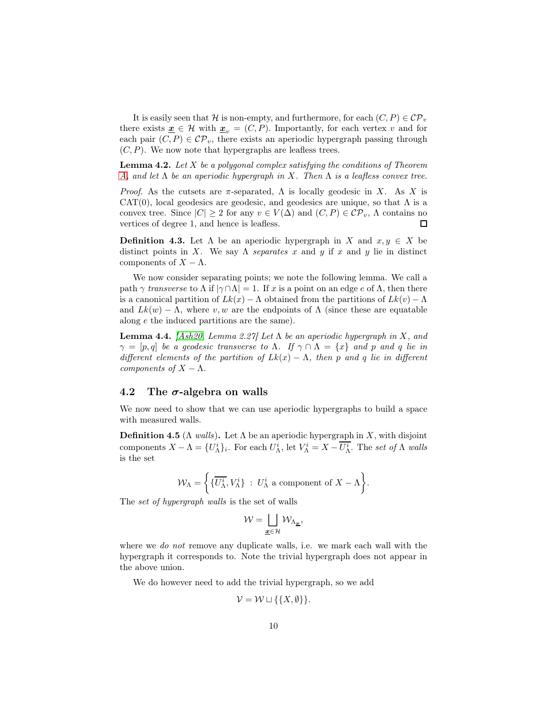It is easily seen that H is non-empty, and furthermore, for each  $(C, P) \in \mathcal{CP}_v$ there exists  $\underline{\mathbf{x}} \in \mathcal{H}$  with  $\underline{\mathbf{x}}_v = (C, P)$ . Importantly, for each vertex v and for each pair  $(C, P) \in \mathcal{CP}_v$ , there exists an aperiodic hypergraph passing through  $(C, P)$ . We now note that hypergraphs are leafless trees.

**Lemma 4.2.** Let  $X$  be a polygonal complex satisfying the conditions of Theorem [A,](#page-0-0) and let  $\Lambda$  be an aperiodic hypergraph in X. Then  $\Lambda$  is a leafless convex tree.

*Proof.* As the cutsets are  $\pi$ -separated,  $\Lambda$  is locally geodesic in X. As X is  $CAT(0)$ , local geodesics are geodesic, and geodesics are unique, so that  $\Lambda$  is a convex tree. Since  $|C| \geq 2$  for any  $v \in V(\Delta)$  and  $(C, P) \in \mathcal{CP}_v$ ,  $\Lambda$  contains no vertices of degree 1, and hence is leafless.  $\Box$ 

**Definition 4.3.** Let  $\Lambda$  be an aperiodic hypergraph in X and  $x, y \in X$  be distinct points in X. We say  $\Lambda$  separates x and y if x and y lie in distinct components of  $X - \Lambda$ .

We now consider separating points; we note the following lemma. We call a path  $\gamma$  transverse to  $\Lambda$  if  $|\gamma \cap \Lambda| = 1$ . If x is a point on an edge e of  $\Lambda$ , then there is a canonical partition of  $Lk(x) - \Lambda$  obtained from the partitions of  $Lk(v) - \Lambda$ and  $Lk(w) - \Lambda$ , where v, w are the endpoints of  $\Lambda$  (since these are equatable along e the induced partitions are the same).

<span id="page-9-0"></span>**Lemma 4.4.** [\[Ash20,](#page-18-1) Lemma 2.27] Let  $\Lambda$  be an aperiodic hypergraph in X, and  $\gamma = [p, q]$  be a geodesic transverse to  $\Lambda$ . If  $\gamma \cap \Lambda = \{x\}$  and p and q lie in different elements of the partition of  $Lk(x) - \Lambda$ , then p and q lie in different components of  $X - \Lambda$ .

### 4.2 The  $\sigma$ -algebra on walls

We now need to show that we can use aperiodic hypergraphs to build a space with measured walls.

**Definition 4.5** ( $\Lambda$  walls). Let  $\Lambda$  be an aperiodic hypergraph in X, with disjoint components  $X - \Lambda = \{U_{\Lambda}^i\}_i$ . For each  $U_{\Lambda}^i$ , let  $V_{\Lambda}^i = X - U_{\Lambda}^i$ . The set of  $\Lambda$  walls is the set

$$
\mathcal{W}_{\Lambda} = \left\{ \{ \overline{U_{\Lambda}^{i}}, V_{\Lambda}^{i} \} : U_{\Lambda}^{i} \text{ a component of } X - \Lambda \right\}.
$$

The set of hypergraph walls is the set of walls

$$
\mathcal{W} = \bigsqcup_{\underline{\mathbf{x}} \in \mathcal{H}} \mathcal{W}_{\Lambda_{\underline{\mathbf{x}}}},
$$

where we *do not* remove any duplicate walls, i.e. we mark each wall with the hypergraph it corresponds to. Note the trivial hypergraph does not appear in the above union.

We do however need to add the trivial hypergraph, so we add

$$
\mathcal{V} = \mathcal{W} \sqcup \{\{X, \emptyset\}\}.
$$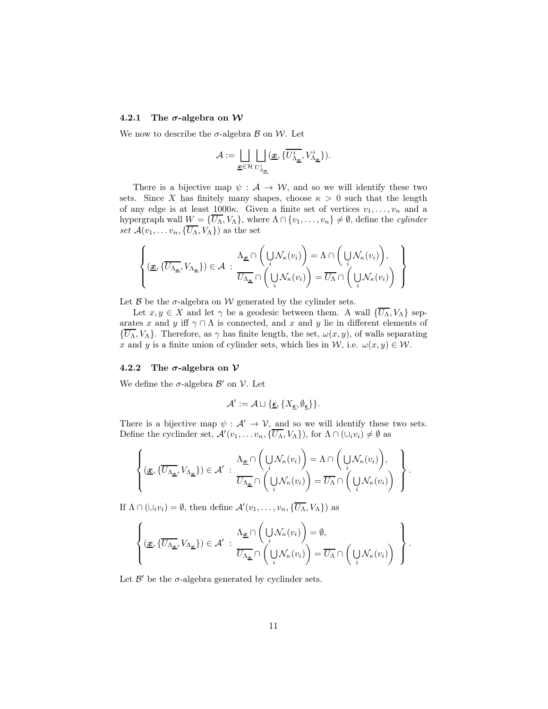#### 4.2.1 The  $\sigma$ -algebra on W

We now to describe the  $\sigma$ -algebra  $\beta$  on W. Let

$$
\mathcal{A}:=\bigsqcup_{\underline{\mathbf{x}}\in\mathcal{H}}\bigsqcup_{U_{\Lambda_{\underline{\mathbf{x}}}^i}^i}(\underline{\mathbf{x}},\{\overline{U_{\Lambda_{\underline{\mathbf{x}}}^i}^i},V_{\Lambda_{\underline{\mathbf{x}}}^i}^i\}).
$$

There is a bijective map  $\psi : A \to W$ , and so we will identify these two sets. Since X has finitely many shapes, choose  $\kappa > 0$  such that the length of any edge is at least  $1000\kappa$ . Given a finite set of vertices  $v_1, \ldots, v_n$  and a hypergraph wall  $W = \{U_{\Lambda}, V_{\Lambda}\}\$ , where  $\Lambda \cap \{v_1, \ldots, v_n\} \neq \emptyset$ , define the *cylinder* set  $\mathcal{A}(v_1, \ldots v_n, {\overline{U_\Lambda}, V_\Lambda})$  as the set

$$
\left\{ (\underline{x}, \{\overline{U_{\Lambda_{\underline{x}}}}, V_{\Lambda_{\underline{x}}}\}) \in \mathcal{A} \; : \; \frac{\Lambda_{\underline{x}} \cap \left( \bigcup_{i} \mathcal{N}_{\kappa}(v_{i}) \right) = \Lambda \cap \left( \bigcup_{i} \mathcal{N}_{\kappa}(v_{i}) \right), \\ \overline{U_{\Lambda_{\underline{x}}} \cap \left( \bigcup_{i} \mathcal{N}_{\kappa}(v_{i}) \right)} = \overline{U_{\Lambda}} \cap \left( \bigcup_{i} \mathcal{N}_{\kappa}(v_{i}) \right) \; \right\}
$$

Let  $\beta$  be the  $\sigma$ -algebra on W generated by the cylinder sets.

Let  $x, y \in X$  and let  $\gamma$  be a geodesic between them. A wall  $\{\overline{U_{\Lambda}}, V_{\Lambda}\}$  separates x and y iff  $\gamma \cap \Lambda$  is connected, and x and y lie in different elements of  ${\{\overline{U_{\Lambda}}, V_{\Lambda}\}}$ . Therefore, as  $\gamma$  has finite length, the set,  $\omega(x, y)$ , of walls separating x and y is a finite union of cylinder sets, which lies in W, i.e.  $\omega(x, y) \in \mathcal{W}$ .

#### 4.2.2 The  $\sigma$ -algebra on  $\mathcal V$

We define the  $\sigma$ -algebra  $\mathcal{B}'$  on  $\mathcal{V}$ . Let

$$
\mathcal{A}':=\mathcal{A}\sqcup \{\underline{\epsilon}, \{X_{\underline{\epsilon}},\emptyset_{\underline{\epsilon}}\}\}.
$$

There is a bijective map  $\psi : \mathcal{A}' \to \mathcal{V}$ , and so we will identify these two sets. Define the cyclinder set,  $\mathcal{A}'(v_1,\ldots v_n,\{\overline{U_{\Lambda}},V_{\Lambda}\})$ , for  $\Lambda\cap(\cup_i v_i)\neq\emptyset$  as

$$
\left\{ (\underline{\underline{x}}, \{\overline{U_{\Lambda_{\underline{x}}}}, V_{\Lambda_{\underline{x}}}\}) \in \mathcal{A}' : \frac{\Lambda_{\underline{x}} \cap (\bigcup_{i} \mathcal{N}_{\kappa}(v_{i}))}{\overline{U_{\Lambda_{\underline{x}}}} \cap (\bigcup_{i} \mathcal{N}_{\kappa}(v_{i}))} = \overline{U_{\Lambda}} \cap (\bigcup_{i} \mathcal{N}_{\kappa}(v_{i})) \right\}
$$

.

.

If  $\Lambda \cap (\cup_i v_i) = \emptyset$ , then define  $\mathcal{A}'(v_1, \ldots, v_n, {\overline{U_\Lambda}, V_\Lambda})$  as

$$
\left\{ (\underline{x}, \{\overline{U_{\Lambda_{\underline{x}}}}, V_{\Lambda_{\underline{x}}}\}) \in \mathcal{A}' : \frac{\Lambda_{\underline{x}} \cap (\bigcup_{i} \mathcal{N}_{\kappa}(v_i))}{\overline{U_{\Lambda_{\underline{x}}}} \cap (\bigcup_{i} \mathcal{N}_{\kappa}(v_i))} = \overline{U_{\Lambda}} \cap (\bigcup_{i} \mathcal{N}_{\kappa}(v_i)) \right\}
$$

Let  $\mathcal{B}'$  be the  $\sigma$ -algebra generated by cyclinder sets.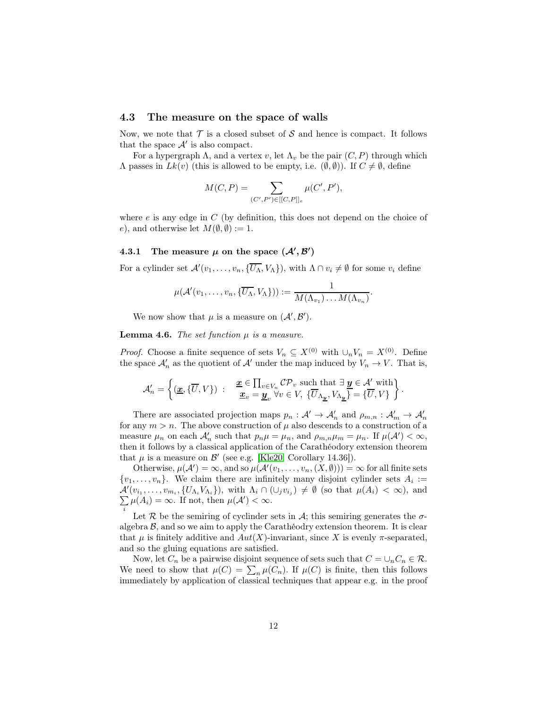### 4.3 The measure on the space of walls

Now, we note that  $\mathcal T$  is a closed subset of S and hence is compact. It follows that the space  $\mathcal{A}'$  is also compact.

For a hypergraph  $\Lambda$ , and a vertex v, let  $\Lambda$ <sub>v</sub> be the pair  $(C, P)$  through which  $Λ$  passes in  $Lk(v)$  (this is allowed to be empty, i.e.  $(φ, φ)$ ). If  $C \neq φ$ , define

$$
M(C, P) = \sum_{(C', P') \in [[C, P]]_e} \mu(C', P'),
$$

where  $e$  is any edge in  $C$  (by definition, this does not depend on the choice of e), and otherwise let  $M(\emptyset, \emptyset) := 1$ .

## 4.3.1 The measure  $\mu$  on the space  $(\mathcal{A}', \mathcal{B}')$

For a cylinder set  $\mathcal{A}'(v_1,\ldots,v_n,\{\overline{U_{\Lambda}},V_{\Lambda}\})$ , with  $\Lambda \cap v_i \neq \emptyset$  for some  $v_i$  define

$$
\mu(\mathcal{A}'(v_1,\ldots,v_n,\{\overline{U_{\Lambda}},V_{\Lambda}\})):=\frac{1}{M(\Lambda_{v_1})\ldots M(\Lambda_{v_n})}.
$$

We now show that  $\mu$  is a measure on  $(\mathcal{A}', \mathcal{B}')$ .

**Lemma 4.6.** The set function  $\mu$  is a measure.

*Proof.* Choose a finite sequence of sets  $V_n \subseteq X^{(0)}$  with  $\cup_n V_n = X^{(0)}$ . Define the space  $\mathcal{A}'_n$  as the quotient of  $\mathcal{A}'$  under the map induced by  $V_n \to V$ . That is,

$$
\mathcal{A}'_n = \left\{ (\underline{\boldsymbol{x}}, \{\overline{U}, V\}) \ : \ \ \begin{array}{l} \underline{\boldsymbol{x}} \in \prod_{v \in V_n} \mathcal{CP}_v \text{ such that } \exists \, \underline{\boldsymbol{y}} \in \mathcal{A}' \text{ with} \\ \underline{\boldsymbol{x}}_v = \underline{\boldsymbol{y}}_v \, \forall v \in V, \, \{\overline{U}_{\Lambda_{\underline{\boldsymbol{y}}}}, V_{\Lambda_{\underline{\boldsymbol{y}}}}\} = \{\overline{U}, V\} \end{array} \right\}.
$$

There are associated projection maps  $p_n: \mathcal{A}' \to \mathcal{A}'_n$  and  $\rho_{m,n}: \mathcal{A}'_m \to \mathcal{A}'_n$ for any  $m > n$ . The above construction of  $\mu$  also descends to a construction of a measure  $\mu_n$  on each  $\mathcal{A}'_n$  such that  $p_n\mu = \mu_n$ , and  $\rho_{m,n}\mu_m = \mu_n$ . If  $\mu(\mathcal{A}') < \infty$ , then it follows by a classical application of the Carathéodory extension theorem that  $\mu$  is a measure on  $\mathcal{B}'$  (see e.g. [\[Kle20,](#page-19-6) Corollary 14.36]).

Otherwise,  $\mu(\mathcal{A}') = \infty$ , and so  $\mu(\mathcal{A}'(v_1, \ldots, v_n, (X, \emptyset))) = \infty$  for all finite sets  $\{v_1, \ldots, v_n\}$ . We claim there are infinitely many disjoint cylinder sets  $A_i :=$  $\mathcal{A}'(v_{i_1},\ldots,v_{m_i},\{U_{\Lambda_i}V_{\Lambda_i}\})$ , with  $\Lambda_i\cap(\cup_jv_{i_j})\neq\emptyset$  (so that  $\mu(A_i)<\infty$ ), and  $\sum \mu(A_i) = \infty$ . If not, then  $\mu(\mathcal{A}') < \infty$ . i

Let  $R$  be the semiring of cyclinder sets in  $A$ ; this semiring generates the  $\sigma$ algebra  $\beta$ , and so we aim to apply the Carathéodry extension theorem. It is clear that  $\mu$  is finitely additive and  $Aut(X)$ -invariant, since X is evenly  $\pi$ -separated, and so the gluing equations are satisfied.

Now, let  $C_n$  be a pairwise disjoint sequence of sets such that  $C = \bigcup_n C_n \in \mathcal{R}$ . We need to show that  $\mu(C) = \sum_n \mu(C_n)$ . If  $\mu(C)$  is finite, then this follows immediately by application of classical techniques that appear e.g. in the proof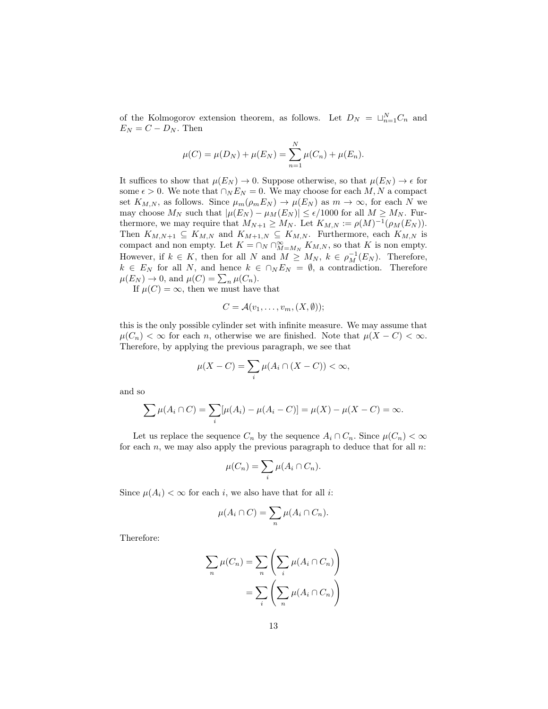of the Kolmogorov extension theorem, as follows. Let  $D_N = \sqcup_{n=1}^N C_n$  and  $E_N = C - D_N$ . Then

$$
\mu(C) = \mu(D_N) + \mu(E_N) = \sum_{n=1}^{N} \mu(C_n) + \mu(E_n).
$$

It suffices to show that  $\mu(E_N) \to 0$ . Suppose otherwise, so that  $\mu(E_N) \to \epsilon$  for some  $\epsilon > 0$ . We note that  $\cap_N E_N = 0$ . We may choose for each M, N a compact set  $K_{M,N}$ , as follows. Since  $\mu_m(\rho_m E_N) \to \mu(E_N)$  as  $m \to \infty$ , for each N we may choose  $M_N$  such that  $|\mu(E_N) - \mu_M(E_N)| \leq \epsilon/1000$  for all  $M \geq M_N$ . Furthermore, we may require that  $M_{N+1} \ge M_N$ . Let  $K_{M,N} := \rho(M)^{-1}(\rho_M(E_N)).$ Then  $K_{M,N+1} \subseteq K_{M,N}$  and  $K_{M+1,N} \subseteq K_{M,N}$ . Furthermore, each  $K_{M,N}$  is compact and non empty. Let  $K = \cap_N \cap_{M=M_N}^{\infty} K_{M,N}$ , so that K is non empty. However, if  $k \in K$ , then for all N and  $M \geq M_N$ ,  $k \in \rho_M^{-1}(E_N)$ . Therefore,  $k \in E_N$  for all N, and hence  $k \in \bigcap_N E_N = \emptyset$ , a contradiction. Therefore  $\mu(E_N) \to 0$ , and  $\mu(C) = \sum_n \mu(C_n)$ .

If  $\mu(C) = \infty$ , then we must have that

$$
C = \mathcal{A}(v_1, \ldots, v_m, (X, \emptyset));
$$

this is the only possible cylinder set with infinite measure. We may assume that  $\mu(C_n) < \infty$  for each *n*, otherwise we are finished. Note that  $\mu(X - C) < \infty$ . Therefore, by applying the previous paragraph, we see that

$$
\mu(X - C) = \sum_{i} \mu(A_i \cap (X - C)) < \infty,
$$

and so

$$
\sum \mu(A_i \cap C) = \sum_i [\mu(A_i) - \mu(A_i - C)] = \mu(X) - \mu(X - C) = \infty.
$$

Let us replace the sequence  $C_n$  by the sequence  $A_i \cap C_n$ . Since  $\mu(C_n) < \infty$ for each  $n$ , we may also apply the previous paragraph to deduce that for all  $n$ .

$$
\mu(C_n) = \sum_i \mu(A_i \cap C_n).
$$

Since  $\mu(A_i) < \infty$  for each i, we also have that for all i:

$$
\mu(A_i \cap C) = \sum_n \mu(A_i \cap C_n).
$$

Therefore:

$$
\sum_{n} \mu(C_n) = \sum_{n} \left( \sum_{i} \mu(A_i \cap C_n) \right)
$$

$$
= \sum_{i} \left( \sum_{n} \mu(A_i \cap C_n) \right)
$$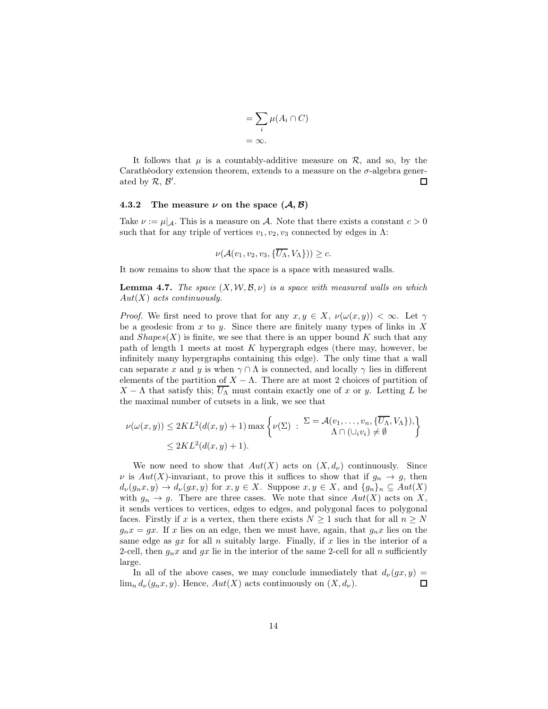$$
= \sum_{i} \mu(A_i \cap C)
$$

$$
= \infty.
$$

It follows that  $\mu$  is a countably-additive measure on  $\mathcal{R}$ , and so, by the Carathéodory extension theorem, extends to a measure on the  $\sigma$ -algebra generated by  $R, B'$ . П

#### 4.3.2 The measure  $\nu$  on the space  $(\mathcal{A}, \mathcal{B})$

Take  $\nu := \mu |_{\mathcal{A}}$ . This is a measure on A. Note that there exists a constant  $c > 0$ such that for any triple of vertices  $v_1, v_2, v_3$  connected by edges in Λ:

$$
\nu(\mathcal{A}(v_1,v_2,v_3,\{\overline{U_{\Lambda}},V_{\Lambda}\}))\geq c.
$$

It now remains to show that the space is a space with measured walls.

<span id="page-13-0"></span>**Lemma 4.7.** The space  $(X, \mathcal{W}, \mathcal{B}, \nu)$  is a space with measured walls on which  $Aut(X)$  acts continuously.

*Proof.* We first need to prove that for any  $x, y \in X$ ,  $\nu(\omega(x, y)) < \infty$ . Let  $\gamma$ be a geodesic from  $x$  to  $y$ . Since there are finitely many types of links in  $X$ and  $Shapes(X)$  is finite, we see that there is an upper bound K such that any path of length 1 meets at most  $K$  hypergraph edges (there may, however, be infinitely many hypergraphs containing this edge). The only time that a wall can separate x and y is when  $\gamma \cap \Lambda$  is connected, and locally  $\gamma$  lies in different elements of the partition of  $X - \Lambda$ . There are at most 2 choices of partition of  $X - \Lambda$  that satisfy this;  $\overline{U_{\Lambda}}$  must contain exactly one of x or y. Letting L be the maximal number of cutsets in a link, we see that

$$
\nu(\omega(x,y)) \le 2KL^2(d(x,y)+1)\max\left\{\nu(\Sigma) : \frac{\Sigma - \mathcal{A}(v_1,\ldots,v_n,\{\overline{U_\Lambda},V_\Lambda\}),}{\Lambda \cap (\cup_i v_i) \neq \emptyset}\right\}
$$
  

$$
\le 2KL^2(d(x,y)+1).
$$

We now need to show that  $Aut(X)$  acts on  $(X, d_{\nu})$  continuously. Since  $\nu$  is  $Aut(X)$ -invariant, to prove this it suffices to show that if  $g_n \to g$ , then  $d_{\nu}(g_nx, y) \to d_{\nu}(gx, y)$  for  $x, y \in X$ . Suppose  $x, y \in X$ , and  $\{g_n\}_n \subseteq Aut(X)$ with  $g_n \to g$ . There are three cases. We note that since  $Aut(X)$  acts on X, it sends vertices to vertices, edges to edges, and polygonal faces to polygonal faces. Firstly if x is a vertex, then there exists  $N \geq 1$  such that for all  $n \geq N$  $g_n x = gx$ . If x lies on an edge, then we must have, again, that  $g_n x$  lies on the same edge as  $gx$  for all n suitably large. Finally, if x lies in the interior of a 2-cell, then  $g_n x$  and  $g x$  lie in the interior of the same 2-cell for all n sufficiently large.

In all of the above cases, we may conclude immediately that  $d_{\nu}(gx, y) =$  $\lim_{n} d_{\nu}(q_n x, y)$ . Hence,  $Aut(X)$  acts continuously on  $(X, d_{\nu})$ .  $\Box$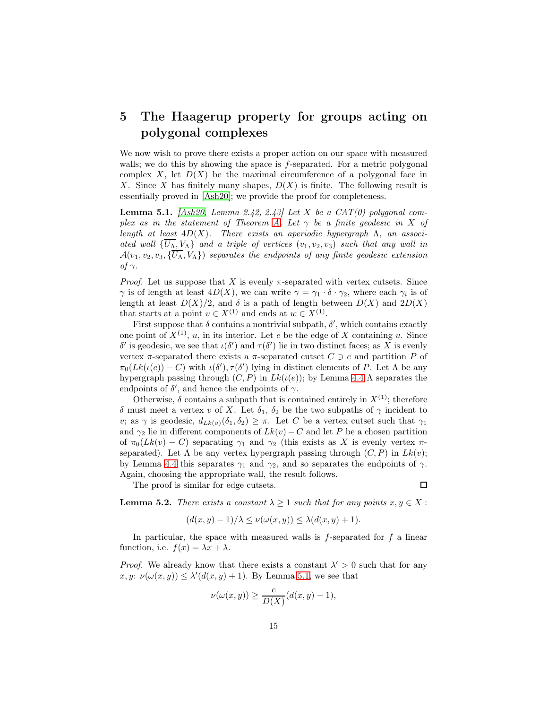## <span id="page-14-0"></span>5 The Haagerup property for groups acting on polygonal complexes

We now wish to prove there exists a proper action on our space with measured walls; we do this by showing the space is f-separated. For a metric polygonal complex X, let  $D(X)$  be the maximal circumference of a polygonal face in X. Since X has finitely many shapes,  $D(X)$  is finite. The following result is essentially proved in [\[Ash20\]](#page-18-1); we provide the proof for completeness.

<span id="page-14-1"></span>**Lemma 5.1.** [\[Ash20,](#page-18-1) Lemma 2.42, 2.43] Let X be a CAT(0) polygonal com-plex as in the statement of Theorem [A.](#page-0-0) Let  $\gamma$  be a finite geodesic in X of length at least  $4D(X)$ . There exists an aperiodic hypergraph  $\Lambda$ , an associated wall  $\{\overline{U_{\Lambda}}, V_{\Lambda}\}\$  and a triple of vertices  $(v_1, v_2, v_3)$  such that any wall in  $\mathcal{A}(v_1, v_2, v_3, \{\overline{U_{\Lambda}}, V_{\Lambda}\})$  separates the endpoints of any finite geodesic extension of γ.

*Proof.* Let us suppose that X is evenly  $\pi$ -separated with vertex cutsets. Since  $\gamma$  is of length at least  $4D(X)$ , we can write  $\gamma = \gamma_1 \cdot \delta \cdot \gamma_2$ , where each  $\gamma_i$  is of length at least  $D(X)/2$ , and  $\delta$  is a path of length between  $D(X)$  and  $2D(X)$ that starts at a point  $v \in X^{(1)}$  and ends at  $w \in X^{(1)}$ .

First suppose that  $\delta$  contains a nontrivial subpath,  $\delta'$ , which contains exactly one point of  $X^{(1)}$ , u, in its interior. Let e be the edge of X containing u. Since δ' is geodesic, we see that  $\iota(\delta')$  and  $\tau(\delta')$  lie in two distinct faces; as X is evenly vertex  $\pi$ -separated there exists a  $\pi$ -separated cutset  $C \ni e$  and partition P of  $\pi_0(Lk(\iota(e)) - C)$  with  $\iota(\delta'), \tau(\delta')$  lying in distinct elements of P. Let  $\Lambda$  be any hypergraph passing through  $(C, P)$  in  $Lk(\iota(e))$ ; by Lemma [4.4](#page-9-0)  $\Lambda$  separates the endpoints of  $\delta'$ , and hence the endpoints of  $\gamma$ .

Otherwise,  $\delta$  contains a subpath that is contained entirely in  $X^{(1)}$ ; therefore δ must meet a vertex v of X. Let  $\delta_1$ ,  $\delta_2$  be the two subpaths of  $\gamma$  incident to v; as  $\gamma$  is geodesic,  $d_{Lk(v)}(\delta_1, \delta_2) \geq \pi$ . Let C be a vertex cutset such that  $\gamma_1$ and  $\gamma_2$  lie in different components of  $Lk(v) - C$  and let P be a chosen partition of  $\pi_0(Lk(v) - C)$  separating  $\gamma_1$  and  $\gamma_2$  (this exists as X is evenly vertex  $\pi$ separated). Let  $\Lambda$  be any vertex hypergraph passing through  $(C, P)$  in  $Lk(v)$ ; by Lemma [4.4](#page-9-0) this separates  $\gamma_1$  and  $\gamma_2$ , and so separates the endpoints of  $\gamma$ . Again, choosing the appropriate wall, the result follows.

The proof is similar for edge cutsets.

 $\Box$ 

**Lemma 5.2.** There exists a constant  $\lambda \geq 1$  such that for any points  $x, y \in X$ :

$$
(d(x,y)-1)/\lambda \le \nu(\omega(x,y)) \le \lambda(d(x,y)+1).
$$

In particular, the space with measured walls is  $f$ -separated for  $f$  a linear function, i.e.  $f(x) = \lambda x + \lambda$ .

*Proof.* We already know that there exists a constant  $\lambda' > 0$  such that for any x, y:  $\nu(\omega(x, y)) \leq \lambda'(d(x, y) + 1)$ . By Lemma [5.1,](#page-14-1) we see that

$$
\nu(\omega(x,y)) \ge \frac{c}{D(X)}(d(x,y)-1),
$$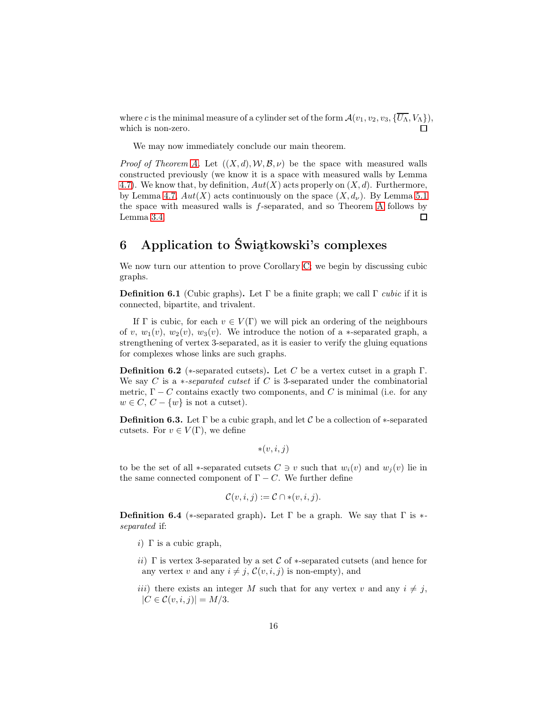where c is the minimal measure of a cylinder set of the form  $\mathcal{A}(v_1, v_2, v_3, {\overline{U_\Lambda}, V_\Lambda}),$ which is non-zero.

We may now immediately conclude our main theorem.

*Proof of Theorem [A.](#page-0-0)* Let  $((X, d), W, \mathcal{B}, \nu)$  be the space with measured walls constructed previously (we know it is a space with measured walls by Lemma [4.7\)](#page-13-0). We know that, by definition,  $Aut(X)$  acts properly on  $(X, d)$ . Furthermore, by Lemma [4.7,](#page-13-0)  $Aut(X)$  acts continuously on the space  $(X, d_{\nu})$ . By Lemma [5.1](#page-14-1) the space with measured walls is f-separated, and so Theorem [A](#page-0-0) follows by Lemma [3.4.](#page-7-1)  $\Box$ 

# <span id="page-15-0"></span>6 Application to Świątkowski's complexes

We now turn our attention to prove Corollary [C;](#page-1-0) we begin by discussing cubic graphs.

**Definition 6.1** (Cubic graphs). Let  $\Gamma$  be a finite graph; we call  $\Gamma$  *cubic* if it is connected, bipartite, and trivalent.

If Γ is cubic, for each  $v \in V(\Gamma)$  we will pick an ordering of the neighbours of v,  $w_1(v)$ ,  $w_2(v)$ ,  $w_3(v)$ . We introduce the notion of a  $\ast$ -separated graph, a strengthening of vertex 3-separated, as it is easier to verify the gluing equations for complexes whose links are such graphs.

**Definition 6.2** (\*-separated cutsets). Let C be a vertex cutset in a graph  $\Gamma$ . We say C is a  $*-separated\ cutset$  if C is 3-separated under the combinatorial metric,  $\Gamma - C$  contains exactly two components, and C is minimal (i.e. for any  $w \in C$ ,  $C - \{w\}$  is not a cutset).

**Definition 6.3.** Let  $\Gamma$  be a cubic graph, and let C be a collection of  $*$ -separated cutsets. For  $v \in V(\Gamma)$ , we define

$$
*(v,i,j)
$$

to be the set of all ∗-separated cutsets  $C \ni v$  such that  $w_i(v)$  and  $w_j(v)$  lie in the same connected component of  $\Gamma - C$ . We further define

$$
\mathcal{C}(v,i,j) := \mathcal{C} \cap * (v,i,j).
$$

**Definition 6.4** (\*-separated graph). Let  $\Gamma$  be a graph. We say that  $\Gamma$  is \*separated if:

- i)  $\Gamma$  is a cubic graph,
- ii) Γ is vertex 3-separated by a set  $\mathcal C$  of \*-separated cutsets (and hence for any vertex v and any  $i \neq j$ ,  $\mathcal{C}(v, i, j)$  is non-empty), and
- iii) there exists an integer M such that for any vertex v and any  $i \neq j$ ,  $|C \in \mathcal{C}(v, i, j)| = M/3.$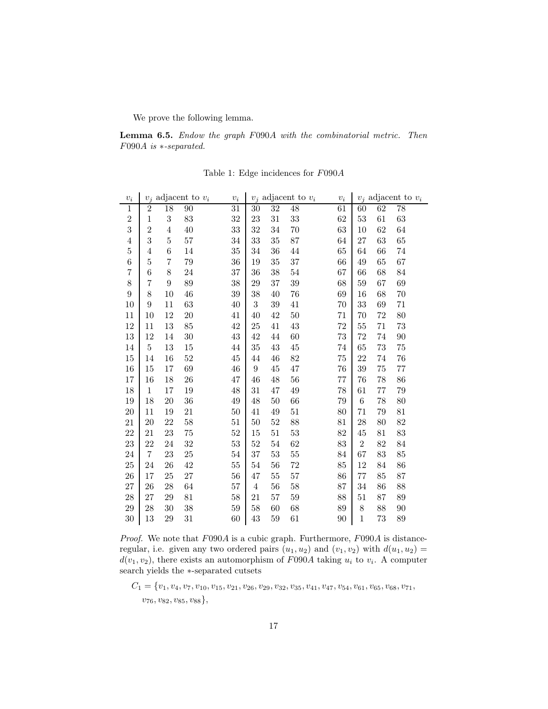We prove the following lemma.

Lemma 6.5. Endow the graph F090A with the combinatorial metric. Then F090A is ∗-separated.

| $v_i$          | adjacent to $v_i$<br>$v_i$ |                | $\boldsymbol{v}_i$ | $v_j$ adjacent to $v_i$ |                  | $v_i$  | $v_j$ adjacent to $v_i$ |    |                |    |        |
|----------------|----------------------------|----------------|--------------------|-------------------------|------------------|--------|-------------------------|----|----------------|----|--------|
| $\,1$          | $\,2$                      | 18             | 90                 | 31                      | 30               | 32     | 48                      | 61 | 60             | 62 | 78     |
| $\overline{2}$ | $\mathbf{1}$               | 3              | 83                 | 32                      | 23               | 31     | 33                      | 62 | 53             | 61 | 63     |
| 3              | $\overline{2}$             | $\overline{4}$ | 40                 | 33                      | 32               | 34     | 70                      | 63 | 10             | 62 | 64     |
| $\overline{4}$ | 3                          | $\overline{5}$ | 57                 | 34                      | 33               | 35     | 87                      | 64 | 27             | 63 | 65     |
| $\overline{5}$ | $\overline{4}$             | $\overline{6}$ | 14                 | 35                      | 34               | 36     | 44                      | 65 | 64             | 66 | 74     |
| $\,6$          | $\bf 5$                    | 7              | 79                 | 36                      | 19               | $35\,$ | 37                      | 66 | 49             | 65 | 67     |
| $\overline{7}$ | $\,6$                      | 8              | 24                 | 37                      | 36               | 38     | $54\,$                  | 67 | 66             | 68 | 84     |
| 8              | 7                          | 9              | 89                 | 38                      | 29               | 37     | 39                      | 68 | 59             | 67 | 69     |
| $\overline{9}$ | 8                          | 10             | 46                 | 39                      | 38               | 40     | 76                      | 69 | 16             | 68 | 70     |
| 10             | 9                          | 11             | 63                 | 40                      | $\overline{3}$   | 39     | 41                      | 70 | 33             | 69 | 71     |
| 11             | 10                         | 12             | 20                 | 41                      | 40               | 42     | $50\,$                  | 71 | 70             | 72 | 80     |
| 12             | 11                         | 13             | 85                 | $42\,$                  | 25               | 41     | 43                      | 72 | 55             | 71 | 73     |
| 13             | 12                         | 14             | 30                 | 43                      | 42               | 44     | 60                      | 73 | 72             | 74 | 90     |
| 14             | $\overline{5}$             | 13             | 15                 | 44                      | 35               | 43     | 45                      | 74 | 65             | 73 | 75     |
| 15             | 14                         | 16             | $52\,$             | 45                      | 44               | 46     | 82                      | 75 | 22             | 74 | 76     |
| 16             | 15                         | 17             | 69                 | 46                      | $\boldsymbol{9}$ | 45     | 47                      | 76 | 39             | 75 | $77\,$ |
| 17             | 16                         | 18             | 26                 | 47                      | 46               | 48     | 56                      | 77 | 76             | 78 | 86     |
| 18             | $\mathbf{1}$               | 17             | 19                 | 48                      | 31               | 47     | 49                      | 78 | 61             | 77 | 79     |
| 19             | 18                         | 20             | 36                 | 49                      | 48               | 50     | 66                      | 79 | $\,6$          | 78 | 80     |
| 20             | 11                         | 19             | 21                 | 50                      | 41               | 49     | $51\,$                  | 80 | 71             | 79 | 81     |
| 21             | 20                         | 22             | 58                 | 51                      | 50               | $52\,$ | 88                      | 81 | 28             | 80 | 82     |
| 22             | 21                         | 23             | 75                 | $52\,$                  | 15               | 51     | $53\,$                  | 82 | 45             | 81 | 83     |
| 23             | 22                         | 24             | 32                 | $53\,$                  | 52               | 54     | 62                      | 83 | $\overline{2}$ | 82 | 84     |
| 24             | $\overline{7}$             | 23             | 25                 | 54                      | 37               | 53     | $55\,$                  | 84 | 67             | 83 | 85     |
| 25             | 24                         | 26             | 42                 | 55                      | 54               | 56     | 72                      | 85 | 12             | 84 | 86     |
| 26             | 17                         | 25             | 27                 | 56                      | 47               | 55     | 57                      | 86 | 77             | 85 | 87     |
| 27             | 26                         | 28             | 64                 | 57                      | $\overline{4}$   | 56     | 58                      | 87 | 34             | 86 | 88     |
| 28             | 27                         | 29             | 81                 | 58                      | 21               | 57     | 59                      | 88 | 51             | 87 | 89     |
| 29             | 28                         | 30             | 38                 | 59                      | 58               | 60     | 68                      | 89 | 8              | 88 | 90     |
| 30             | 13                         | 29             | 31                 | 60                      | 43               | 59     | 61                      | 90 | $\mathbf{1}$   | 73 | 89     |

Table 1: Edge incidences for F090A

*Proof.* We note that  $F090A$  is a cubic graph. Furthermore,  $F090A$  is distanceregular, i.e. given any two ordered pairs  $(u_1, u_2)$  and  $(v_1, v_2)$  with  $d(u_1, u_2) =$  $d(v_1, v_2)$ , there exists an automorphism of  $F090A$  taking  $u_i$  to  $v_i$ . A computer search yields the ∗-separated cutsets

 $C_1 = \{v_1, v_4, v_7, v_{10}, v_{15}, v_{21}, v_{26}, v_{29}, v_{32}, v_{35}, v_{41}, v_{47}, v_{54}, v_{61}, v_{65}, v_{68}, v_{71},$  $v_{76}, v_{82}, v_{85}, v_{88}$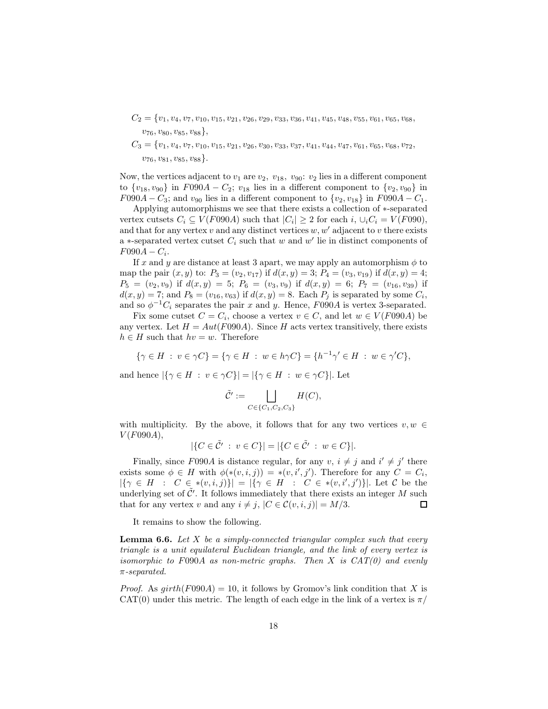- $C_2 = \{v_1, v_4, v_7, v_{10}, v_{15}, v_{21}, v_{26}, v_{29}, v_{33}, v_{36}, v_{41}, v_{45}, v_{48}, v_{55}, v_{61}, v_{65}, v_{68},$  $v_{76}, v_{80}, v_{85}, v_{88}$
- $C_3 = \{v_1, v_4, v_7, v_{10}, v_{15}, v_{21}, v_{26}, v_{30}, v_{33}, v_{37}, v_{41}, v_{44}, v_{47}, v_{61}, v_{65}, v_{68}, v_{72}, v_{61}, v_{62}, v_{63}, v_{74}, v_{85}, v_{86}, v_{87}, v_{88}, v_{89}, v_{80}, v_{81}, v_{82}, v_{83}, v_{84}, v_{85}, v_{86}, v_{87}, v_{88}, v_{89}, v_{80}, v_{81}, v_{82}, v_{83}, v_{84}, v_{85}, v_{86}, v_{$  $v_{76}, v_{81}, v_{85}, v_{88}$ .

Now, the vertices adjacent to  $v_1$  are  $v_2$ ,  $v_{18}$ ,  $v_{90}$ :  $v_2$  lies in a different component to  $\{v_{18}, v_{90}\}$  in  $F090A - C_2$ ;  $v_{18}$  lies in a different component to  $\{v_2, v_{90}\}$  in  $F090A - C_3$ ; and  $v_{90}$  lies in a different component to  $\{v_2, v_{18}\}\$  in  $F090A - C_1$ .

Applying automorphisms we see that there exists a collection of ∗-separated vertex cutsets  $C_i \subseteq V(F090A)$  such that  $|C_i| \geq 2$  for each  $i, \cup_i C_i = V(F090)$ , and that for any vertex  $v$  and any distinct vertices  $w, w'$  adjacent to  $v$  there exists a ∗-separated vertex cutset  $C_i$  such that w and w' lie in distinct components of  $F090A - C_i.$ 

If x and y are distance at least 3 apart, we may apply an automorphism  $\phi$  to map the pair  $(x, y)$  to:  $P_3 = (v_2, v_{17})$  if  $d(x, y) = 3$ ;  $P_4 = (v_3, v_{19})$  if  $d(x, y) = 4$ ;  $P_5 = (v_2, v_9)$  if  $d(x, y) = 5$ ;  $P_6 = (v_3, v_9)$  if  $d(x, y) = 6$ ;  $P_7 = (v_{16}, v_{39})$  if  $d(x,y) = 7$ ; and  $P_8 = (v_{16}, v_{63})$  if  $d(x,y) = 8$ . Each  $P_j$  is separated by some  $C_i$ , and so  $\phi^{-1}C_i$  separates the pair x and y. Hence, F090A is vertex 3-separated.

Fix some cutset  $C = C_i$ , choose a vertex  $v \in C$ , and let  $w \in V(F090A)$  be any vertex. Let  $H = Aut(F090A)$ . Since H acts vertex transitively, there exists  $h \in H$  such that  $hv = w$ . Therefore

 $\{\gamma \in H : v \in \gamma C\} = \{\gamma \in H : w \in h\gamma C\} = \{h^{-1}\gamma' \in H : w \in \gamma' C\},\$ 

and hence  $|\{\gamma \in H : v \in \gamma C\}| = |\{\gamma \in H : w \in \gamma C\}|.$  Let

$$
\tilde{C}' := \bigsqcup_{C \in \{C_1, C_2, C_3\}} H(C),
$$

with multiplicity. By the above, it follows that for any two vertices  $v, w \in$  $V(F090A),$ 

$$
|\{C \in \tilde{C}' : v \in C\}| = |\{C \in \tilde{C}' : w \in C\}|.
$$

Finally, since F090A is distance regular, for any  $v, i \neq j$  and  $i' \neq j'$  there exists some  $\phi \in H$  with  $\phi(*(v,i,j)) = * (v,i',j')$ . Therefore for any  $C = C_i$ ,  $|\{\gamma \in H : C \in *(v,i,j)\}| = |\{\gamma \in H : C \in *(v,i',j')\}|.$  Let C be the underlying set of  $\tilde{\mathcal{C}}'$ . It follows immediately that there exists an integer M such that for any vertex v and any  $i \neq j$ ,  $|C \in \mathcal{C}(v, i, j)| = M/3$ . □

It remains to show the following.

**Lemma 6.6.** Let  $X$  be a simply-connected triangular complex such that every triangle is a unit equilateral Euclidean triangle, and the link of every vertex is isomorphic to  $F090A$  as non-metric graphs. Then X is  $CAT(0)$  and evenly π-separated.

*Proof.* As  $qirth(F090A) = 10$ , it follows by Gromov's link condition that X is CAT(0) under this metric. The length of each edge in the link of a vertex is  $\pi/$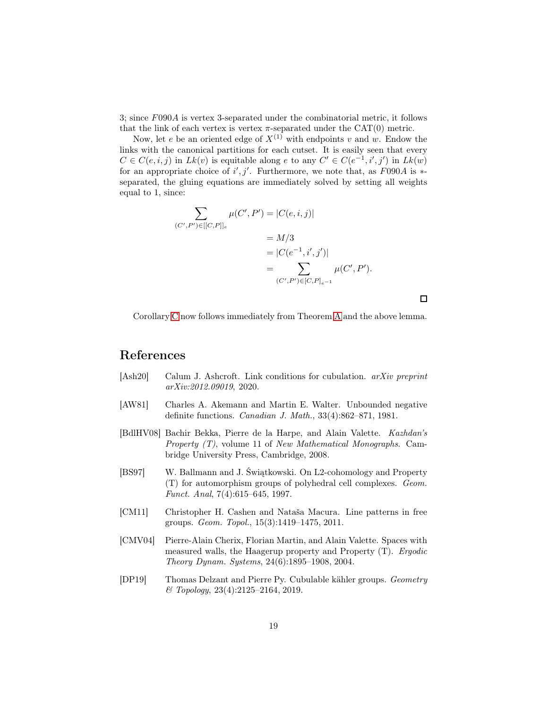3; since F090A is vertex 3-separated under the combinatorial metric, it follows that the link of each vertex is vertex  $\pi$ -separated under the CAT(0) metric.

Now, let e be an oriented edge of  $X^{(1)}$  with endpoints v and w. Endow the links with the canonical partitions for each cutset. It is easily seen that every  $C \in C(e, i, j)$  in  $Lk(v)$  is equitable along e to any  $C' \in C(e^{-1}, i', j')$  in  $Lk(w)$ for an appropriate choice of  $i', j'$ . Furthermore, we note that, as  $F090A$  is  $*$ separated, the gluing equations are immediately solved by setting all weights equal to 1, since:

$$
\sum_{(C',P')\in[[C,P]]_e} \mu(C',P') = |C(e,i,j)|
$$
  
= M/3  
= |C(e<sup>-1</sup>, i', j')|  
= 
$$
\sum_{(C',P')\in[C,P]_{e^{-1}}} \mu(C',P').
$$

 $\Box$ 

Corollary [C](#page-1-0) now follows immediately from Theorem [A](#page-0-0) and the above lemma.

## References

- <span id="page-18-1"></span>[Ash20] Calum J. Ashcroft. Link conditions for cubulation. arXiv preprint arXiv:2012.09019, 2020.
- <span id="page-18-6"></span>[AW81] Charles A. Akemann and Martin E. Walter. Unbounded negative definite functions. Canadian J. Math., 33(4):862–871, 1981.
- <span id="page-18-2"></span>[BdlHV08] Bachir Bekka, Pierre de la Harpe, and Alain Valette. Kazhdan's *Property*  $(T)$ *, volume 11 of New Mathematical Monographs.* Cambridge University Press, Cambridge, 2008.
- <span id="page-18-0"></span>[BS97] W. Ballmann and J. Świątkowski. On L2-cohomology and Property (T) for automorphism groups of polyhedral cell complexes. Geom. Funct. Anal, 7(4):615–645, 1997.
- <span id="page-18-5"></span>[CM11] Christopher H. Cashen and Nataša Macura. Line patterns in free groups. Geom. Topol., 15(3):1419–1475, 2011.
- <span id="page-18-4"></span>[CMV04] Pierre-Alain Cherix, Florian Martin, and Alain Valette. Spaces with measured walls, the Haagerup property and Property (T). Ergodic Theory Dynam. Systems, 24(6):1895–1908, 2004.
- <span id="page-18-3"></span>[DP19] Thomas Delzant and Pierre Py. Cubulable kähler groups. Geometry & Topology, 23(4):2125–2164, 2019.